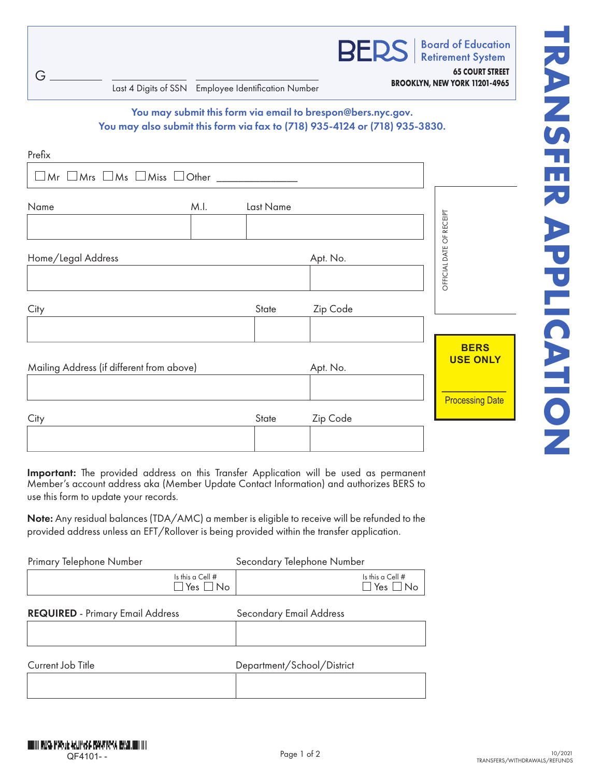**Retirement System 65 COURT STREET** G **BROOKLYN, NEW YORK 11201-4965** Last 4 Digits of SSN Employee Identification Number You may submit this form via email to brespon@bers.nyc.gov. You may also submit this form via fax to (718) 935-4124 or (718) 935-3830. Prefix $\Box$ Mr $\Box$ Mrs  $\Box$ Ms  $\Box$ Miss  $\Box$ Other  $\Box$ Name M.I. Last Name OFFICIAL DATE OF RECEIPT OFFICIAL DATE OF RECEIPT Home/Legal Address **Apt. No.** 2014 12:30 Apt. No. City **State** Zip Code **BERS USE ONLY** Mailing Address (if different from above) Apt. No.  $\frac{1}{2}$ **Processing Date** City **State** Zip Code

Important: The provided address on this Transfer Application will be used as permanent Member's account address aka (Member Update Contact Information) and authorizes BERS to use this form to update your records.

Note: Any residual balances (TDA/AMC) a member is eligible to receive will be refunded to the provided address unless an EFT/Rollover is being provided within the transfer application.

| Primary Telephone Number                |                                                  | Secondary Telephone Number     |                                                  |
|-----------------------------------------|--------------------------------------------------|--------------------------------|--------------------------------------------------|
|                                         | Is this a Cell $#$<br>$\square$ Yes $\square$ No |                                | Is this a Cell $#$<br>$\square$ Yes $\square$ No |
| <b>REQUIRED</b> - Primary Email Address |                                                  | <b>Secondary Email Address</b> |                                                  |
|                                         |                                                  |                                |                                                  |
| Current Job Title                       |                                                  | Department/School/District     |                                                  |

**Board of Education**